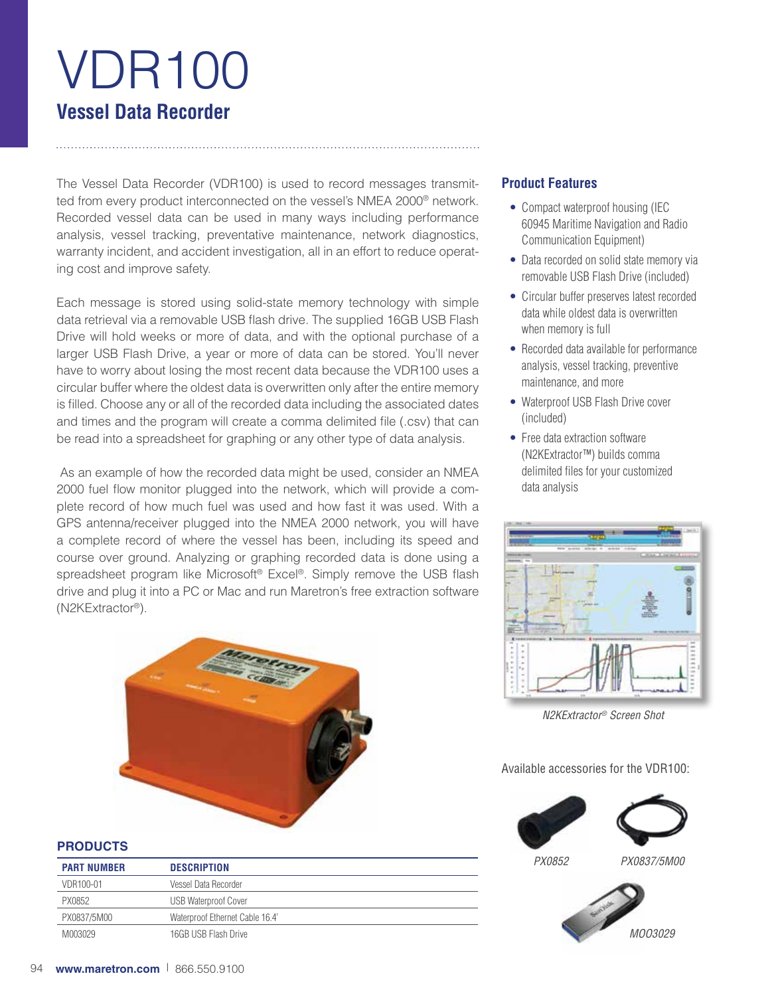# VDR100 **Vessel Data Recorder**

The Vessel Data Recorder (VDR100) is used to record messages transmitted from every product interconnected on the vessel's NMEA 2000<sup>®</sup> network. Recorded vessel data can be used in many ways including performance analysis, vessel tracking, preventative maintenance, network diagnostics, warranty incident, and accident investigation, all in an effort to reduce operating cost and improve safety.

Each message is stored using solid-state memory technology with simple data retrieval via a removable USB flash drive. The supplied 16GB USB Flash Drive will hold weeks or more of data, and with the optional purchase of a larger USB Flash Drive, a year or more of data can be stored. You'll never have to worry about losing the most recent data because the VDR100 uses a circular buffer where the oldest data is overwritten only after the entire memory is filled. Choose any or all of the recorded data including the associated dates and times and the program will create a comma delimited file (.csv) that can be read into a spreadsheet for graphing or any other type of data analysis.

 As an example of how the recorded data might be used, consider an NMEA 2000 fuel flow monitor plugged into the network, which will provide a complete record of how much fuel was used and how fast it was used. With a GPS antenna/receiver plugged into the NMEA 2000 network, you will have a complete record of where the vessel has been, including its speed and course over ground. Analyzing or graphing recorded data is done using a spreadsheet program like Microsoft® Excel®. Simply remove the USB flash drive and plug it into a PC or Mac and run Maretron's free extraction software (N2KExtractor®).



# **PRODUCTS**

| <b>PART NUMBER</b> | <b>DESCRIPTION</b>              |
|--------------------|---------------------------------|
| VDR100-01          | Vessel Data Recorder            |
| PX0852             | <b>USB Waterproof Cover</b>     |
| PX0837/5M00        | Waterproof Ethernet Cable 16.4' |
| M003029            | 16GB USB Flash Drive            |

# **Product Features**

- Compact waterproof housing (IEC 60945 Maritime Navigation and Radio Communication Equipment)
- Data recorded on solid state memory via removable USB Flash Drive (included)
- Circular buffer preserves latest recorded data while oldest data is overwritten when memory is full
- Recorded data available for performance analysis, vessel tracking, preventive maintenance, and more
- Waterproof USB Flash Drive cover (included)
- Free data extraction software (N2KExtractor™) builds comma delimited files for your customized data analysis



*N2KExtractor® Screen Shot*

## Available accessories for the VDR100:



*PX0852 PX0837/5M00*